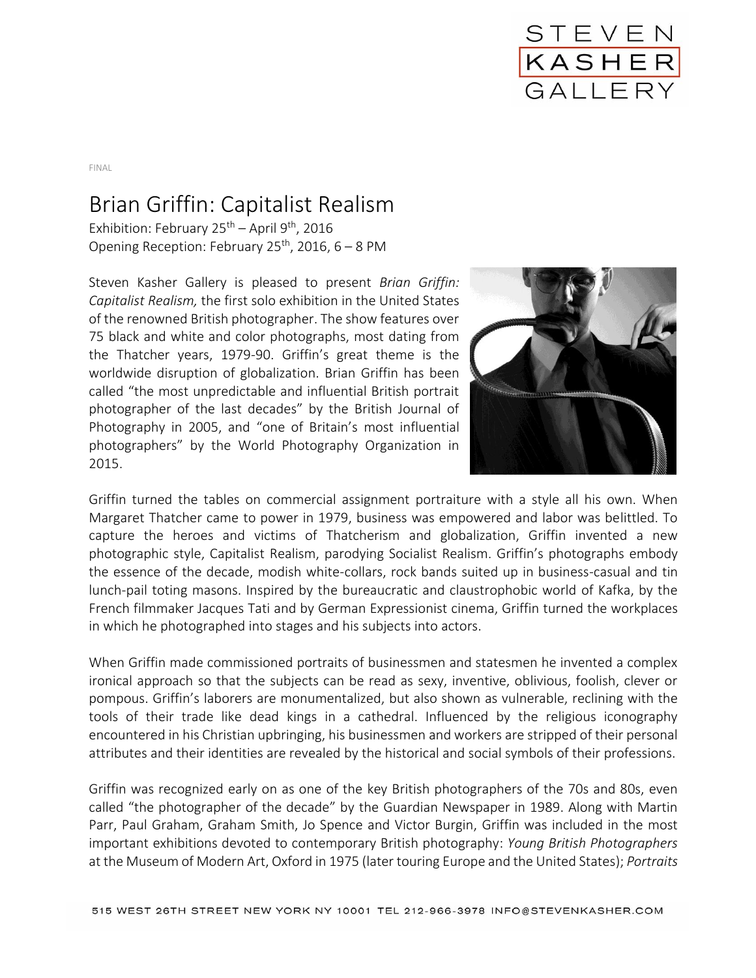

FINAL

## Brian Griffin: Capitalist Realism

Exhibition: February  $25<sup>th</sup>$  – April 9<sup>th</sup>, 2016 Opening Reception: February 25<sup>th</sup>, 2016,  $6 - 8$  PM

Steven Kasher Gallery is pleased to present *Brian Griffin: Capitalist Realism,* the first solo exhibition in the United States of the renowned British photographer. The show features over 75 black and white and color photographs, most dating from the Thatcher years, 1979-90. Griffin's great theme is the worldwide disruption of globalization. Brian Griffin has been called "the most unpredictable and influential British portrait photographer of the last decades" by the British Journal of Photography in 2005, and "one of Britain's most influential photographers" by the World Photography Organization in 2015.



Griffin turned the tables on commercial assignment portraiture with a style all his own. When Margaret Thatcher came to power in 1979, business was empowered and labor was belittled. To capture the heroes and victims of Thatcherism and globalization, Griffin invented a new photographic style, Capitalist Realism, parodying Socialist Realism. Griffin's photographs embody the essence of the decade, modish white-collars, rock bands suited up in business-casual and tin lunch-pail toting masons. Inspired by the bureaucratic and claustrophobic world of Kafka, by the French filmmaker Jacques Tati and by German Expressionist cinema, Griffin turned the workplaces in which he photographed into stages and his subjects into actors.

When Griffin made commissioned portraits of businessmen and statesmen he invented a complex ironical approach so that the subjects can be read as sexy, inventive, oblivious, foolish, clever or pompous. Griffin's laborers are monumentalized, but also shown as vulnerable, reclining with the tools of their trade like dead kings in a cathedral. Influenced by the religious iconography encountered in his Christian upbringing, his businessmen and workers are stripped of their personal attributes and their identities are revealed by the historical and social symbols of their professions.

Griffin was recognized early on as one of the key British photographers of the 70s and 80s, even called "the photographer of the decade" by the Guardian Newspaper in 1989. Along with Martin Parr, Paul Graham, Graham Smith, Jo Spence and Victor Burgin, Griffin was included in the most important exhibitions devoted to contemporary British photography: *Young British Photographers* at the Museum of Modern Art, Oxford in 1975 (later touring Europe and the United States); *Portraits*